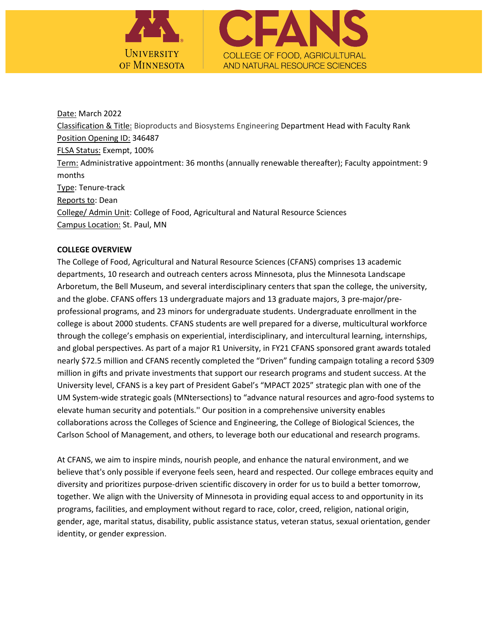

Date: March 2022 Classification & Title: Bioproducts and Biosystems Engineering Department Head with Faculty Rank Position Opening ID: 346487 FLSA Status: Exempt, 100% Term: Administrative appointment: 36 months (annually renewable thereafter); Faculty appointment: 9 months Type: Tenure-track Reports to: Dean College/ Admin Unit: College of Food, Agricultural and Natural Resource Sciences Campus Location: St. Paul, MN

## **COLLEGE OVERVIEW**

The College of Food, Agricultural and Natural Resource Sciences (CFANS) comprises 13 academic departments, 10 research and outreach centers across Minnesota, plus the Minnesota Landscape Arboretum, the Bell Museum, and several interdisciplinary centers that span the college, the university, and the globe. CFANS offers 13 undergraduate majors and 13 graduate majors, 3 pre-major/preprofessional programs, and 23 minors for undergraduate students. Undergraduate enrollment in the college is about 2000 students. CFANS students are well prepared for a diverse, multicultural workforce through the college's emphasis on experiential, interdisciplinary, and intercultural learning, internships, and global perspectives. As part of a major R1 University, in FY21 CFANS sponsored grant awards totaled nearly \$72.5 million and CFANS recently completed the "Driven" funding campaign totaling a record \$309 million in gifts and private investments that support our research programs and student success. At the University level, CFANS is a key part of President Gabel's "MPACT 2025" strategic plan with one of the UM System-wide strategic goals (MNtersections) to "advance natural resources and agro-food systems to elevate human security and potentials.'' Our position in a comprehensive university enables collaborations across the Colleges of Science and Engineering, the College of Biological Sciences, the Carlson School of Management, and others, to leverage both our educational and research programs.

At CFANS, we aim to inspire minds, nourish people, and enhance the natural environment, and we believe that's only possible if everyone feels seen, heard and respected. Our college embraces equity and diversity and prioritizes purpose-driven scientific discovery in order for us to build a better tomorrow, together. We align with the University of Minnesota in providing equal access to and opportunity in its programs, facilities, and employment without regard to race, color, creed, religion, national origin, gender, age, marital status, disability, public assistance status, veteran status, sexual orientation, gender identity, or gender expression.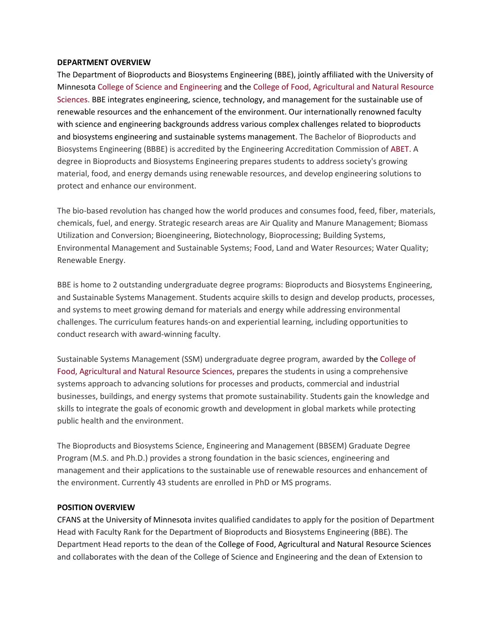#### **DEPARTMENT OVERVIEW**

The Department of Bioproducts and Biosystems Engineering (BBE), jointly affiliated with the University of Minnesota College of Science and Engineering and the College of Food, Agricultural and Natural Resource Sciences. BBE integrates engineering, science, technology, and management for the sustainable use of renewable resources and the enhancement of the environment. Our internationally renowned faculty with science and engineering backgrounds address various complex challenges related to bioproducts and biosystems engineering and sustainable systems management. The Bachelor of Bioproducts and Biosystems Engineering (BBBE) is accredited by the Engineering Accreditation Commission of ABET. A degree in Bioproducts and Biosystems Engineering prepares students to address society's growing material, food, and energy demands using renewable resources, and develop engineering solutions to protect and enhance our environment.

The bio-based revolution has changed how the world produces and consumes food, feed, fiber, materials, chemicals, fuel, and energy. Strategic research areas are Air Quality and Manure Management; Biomass Utilization and Conversion; Bioengineering, Biotechnology, Bioprocessing; Building Systems, Environmental Management and Sustainable Systems; Food, Land and Water Resources; Water Quality; Renewable Energy.

BBE is home to 2 outstanding undergraduate degree programs: Bioproducts and Biosystems Engineering, and Sustainable Systems Management. Students acquire skills to design and develop products, processes, and systems to meet growing demand for materials and energy while addressing environmental challenges. The curriculum features hands-on and experiential learning, including opportunities to conduct research with award-winning faculty.

Sustainable Systems Management (SSM) undergraduate degree program, awarded by the College of Food, Agricultural and Natural Resource Sciences, prepares the students in using a comprehensive systems approach to advancing solutions for processes and products, commercial and industrial businesses, buildings, and energy systems that promote sustainability. Students gain the knowledge and skills to integrate the goals of economic growth and development in global markets while protecting public health and the environment.

The Bioproducts and Biosystems Science, Engineering and Management (BBSEM) Graduate Degree Program (M.S. and Ph.D.) provides a strong foundation in the basic sciences, engineering and management and their applications to the sustainable use of renewable resources and enhancement of the environment. Currently 43 students are enrolled in PhD or MS programs.

#### **POSITION OVERVIEW**

CFANS at the University of Minnesota invites qualified candidates to apply for the position of Department Head with Faculty Rank for the Department of Bioproducts and Biosystems Engineering (BBE). The Department Head reports to the dean of the College of Food, Agricultural and Natural Resource Sciences and collaborates with the dean of the College of Science and Engineering and the dean of Extension to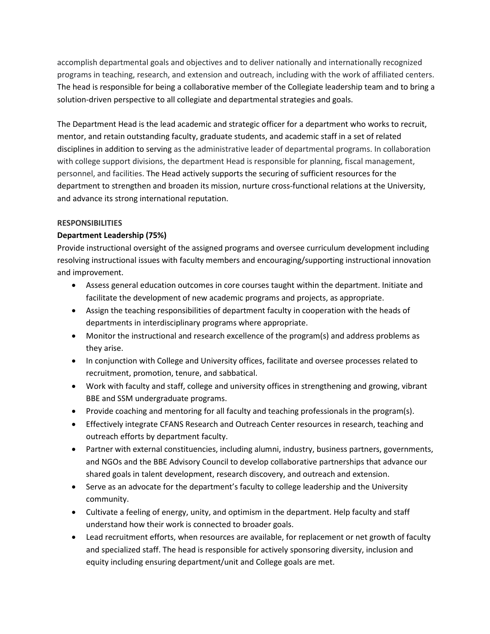accomplish departmental goals and objectives and to deliver nationally and internationally recognized programs in teaching, research, and extension and outreach, including with the work of affiliated centers. The head is responsible for being a collaborative member of the Collegiate leadership team and to bring a solution-driven perspective to all collegiate and departmental strategies and goals.

The Department Head is the lead academic and strategic officer for a department who works to recruit, mentor, and retain outstanding faculty, graduate students, and academic staff in a set of related disciplines in addition to serving as the administrative leader of departmental programs. In collaboration with college support divisions, the department Head is responsible for planning, fiscal management, personnel, and facilities. The Head actively supports the securing of sufficient resources for the department to strengthen and broaden its mission, nurture cross-functional relations at the University, and advance its strong international reputation.

# **RESPONSIBILITIES**

# **Department Leadership (75%)**

Provide instructional oversight of the assigned programs and oversee curriculum development including resolving instructional issues with faculty members and encouraging/supporting instructional innovation and improvement.

- Assess general education outcomes in core courses taught within the department. Initiate and facilitate the development of new academic programs and projects, as appropriate.
- Assign the teaching responsibilities of department faculty in cooperation with the heads of departments in interdisciplinary programs where appropriate.
- Monitor the instructional and research excellence of the program(s) and address problems as they arise.
- In conjunction with College and University offices, facilitate and oversee processes related to recruitment, promotion, tenure, and sabbatical.
- Work with faculty and staff, college and university offices in strengthening and growing, vibrant BBE and SSM undergraduate programs.
- Provide coaching and mentoring for all faculty and teaching professionals in the program(s).
- Effectively integrate CFANS Research and Outreach Center resources in research, teaching and outreach efforts by department faculty.
- Partner with external constituencies, including alumni, industry, business partners, governments, and NGOs and the BBE Advisory Council to develop collaborative partnerships that advance our shared goals in talent development, research discovery, and outreach and extension.
- Serve as an advocate for the department's faculty to college leadership and the University community.
- Cultivate a feeling of energy, unity, and optimism in the department. Help faculty and staff understand how their work is connected to broader goals.
- Lead recruitment efforts, when resources are available, for replacement or net growth of faculty and specialized staff. The head is responsible for actively sponsoring diversity, inclusion and equity including ensuring department/unit and College goals are met.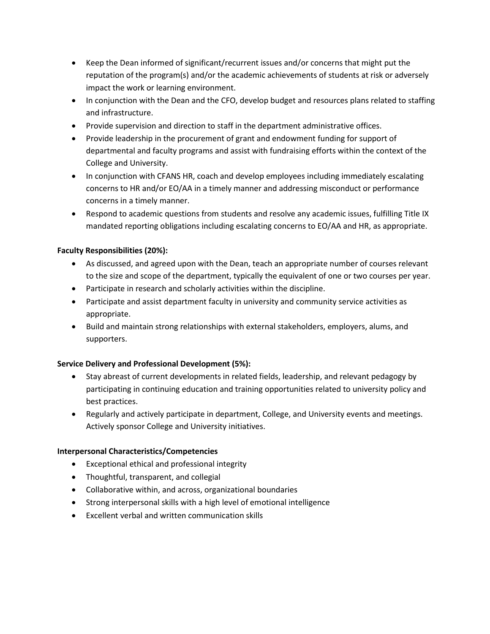- Keep the Dean informed of significant/recurrent issues and/or concerns that might put the reputation of the program(s) and/or the academic achievements of students at risk or adversely impact the work or learning environment.
- In conjunction with the Dean and the CFO, develop budget and resources plans related to staffing and infrastructure.
- Provide supervision and direction to staff in the department administrative offices.
- Provide leadership in the procurement of grant and endowment funding for support of departmental and faculty programs and assist with fundraising efforts within the context of the College and University.
- In conjunction with CFANS HR, coach and develop employees including immediately escalating concerns to HR and/or EO/AA in a timely manner and addressing misconduct or performance concerns in a timely manner.
- Respond to academic questions from students and resolve any academic issues, fulfilling Title IX mandated reporting obligations including escalating concerns to EO/AA and HR, as appropriate.

# **Faculty Responsibilities (20%):**

- As discussed, and agreed upon with the Dean, teach an appropriate number of courses relevant to the size and scope of the department, typically the equivalent of one or two courses per year.
- Participate in research and scholarly activities within the discipline.
- Participate and assist department faculty in university and community service activities as appropriate.
- Build and maintain strong relationships with external stakeholders, employers, alums, and supporters.

# **Service Delivery and Professional Development (5%):**

- Stay abreast of current developments in related fields, leadership, and relevant pedagogy by participating in continuing education and training opportunities related to university policy and best practices.
- Regularly and actively participate in department, College, and University events and meetings. Actively sponsor College and University initiatives.

### **Interpersonal Characteristics/Competencies**

- Exceptional ethical and professional integrity
- Thoughtful, transparent, and collegial
- Collaborative within, and across, organizational boundaries
- Strong interpersonal skills with a high level of emotional intelligence
- Excellent verbal and written communication skills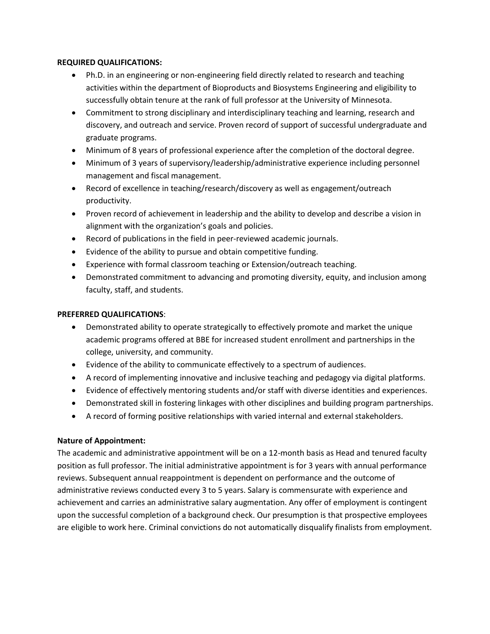### **REQUIRED QUALIFICATIONS:**

- Ph.D. in an engineering or non-engineering field directly related to research and teaching activities within the department of Bioproducts and Biosystems Engineering and eligibility to successfully obtain tenure at the rank of full professor at the University of Minnesota.
- Commitment to strong disciplinary and interdisciplinary teaching and learning, research and discovery, and outreach and service. Proven record of support of successful undergraduate and graduate programs.
- Minimum of 8 years of professional experience after the completion of the doctoral degree.
- Minimum of 3 years of supervisory/leadership/administrative experience including personnel management and fiscal management.
- Record of excellence in teaching/research/discovery as well as engagement/outreach productivity.
- Proven record of achievement in leadership and the ability to develop and describe a vision in alignment with the organization's goals and policies.
- Record of publications in the field in peer-reviewed academic journals.
- Evidence of the ability to pursue and obtain competitive funding.
- Experience with formal classroom teaching or Extension/outreach teaching.
- Demonstrated commitment to advancing and promoting diversity, equity, and inclusion among faculty, staff, and students.

## **PREFERRED QUALIFICATIONS**:

- Demonstrated ability to operate strategically to effectively promote and market the unique academic programs offered at BBE for increased student enrollment and partnerships in the college, university, and community.
- Evidence of the ability to communicate effectively to a spectrum of audiences.
- A record of implementing innovative and inclusive teaching and pedagogy via digital platforms.
- Evidence of effectively mentoring students and/or staff with diverse identities and experiences.
- Demonstrated skill in fostering linkages with other disciplines and building program partnerships.
- A record of forming positive relationships with varied internal and external stakeholders.

# **Nature of Appointment:**

The academic and administrative appointment will be on a 12-month basis as Head and tenured faculty position as full professor. The initial administrative appointment is for 3 years with annual performance reviews. Subsequent annual reappointment is dependent on performance and the outcome of administrative reviews conducted every 3 to 5 years. Salary is commensurate with experience and achievement and carries an administrative salary augmentation. Any offer of employment is contingent upon the successful completion of a background check. Our presumption is that prospective employees are eligible to work here. Criminal convictions do not automatically disqualify finalists from employment.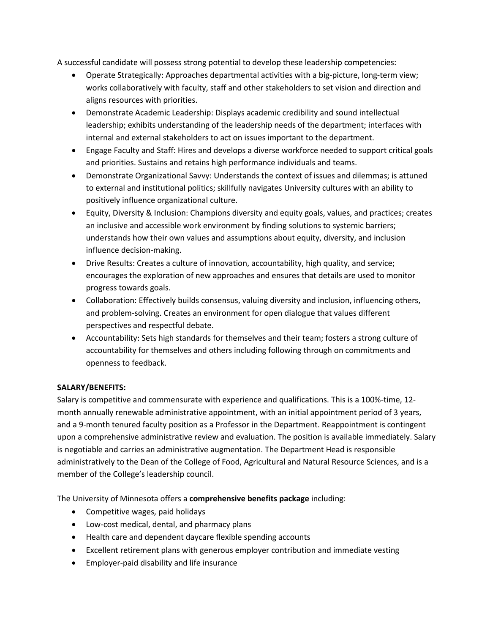A successful candidate will possess strong potential to develop these leadership competencies:

- Operate Strategically: Approaches departmental activities with a big-picture, long-term view; works collaboratively with faculty, staff and other stakeholders to set vision and direction and aligns resources with priorities.
- Demonstrate Academic Leadership: Displays academic credibility and sound intellectual leadership; exhibits understanding of the leadership needs of the department; interfaces with internal and external stakeholders to act on issues important to the department.
- Engage Faculty and Staff: Hires and develops a diverse workforce needed to support critical goals and priorities. Sustains and retains high performance individuals and teams.
- Demonstrate Organizational Savvy: Understands the context of issues and dilemmas; is attuned to external and institutional politics; skillfully navigates University cultures with an ability to positively influence organizational culture.
- Equity, Diversity & Inclusion: Champions diversity and equity goals, values, and practices; creates an inclusive and accessible work environment by finding solutions to systemic barriers; understands how their own values and assumptions about equity, diversity, and inclusion influence decision-making.
- Drive Results: Creates a culture of innovation, accountability, high quality, and service; encourages the exploration of new approaches and ensures that details are used to monitor progress towards goals.
- Collaboration: Effectively builds consensus, valuing diversity and inclusion, influencing others, and problem-solving. Creates an environment for open dialogue that values different perspectives and respectful debate.
- Accountability: Sets high standards for themselves and their team; fosters a strong culture of accountability for themselves and others including following through on commitments and openness to feedback.

# **SALARY/BENEFITS:**

Salary is competitive and commensurate with experience and qualifications. This is a 100%-time, 12 month annually renewable administrative appointment, with an initial appointment period of 3 years, and a 9-month tenured faculty position as a Professor in the Department. Reappointment is contingent upon a comprehensive administrative review and evaluation. The position is available immediately. Salary is negotiable and carries an administrative augmentation. The Department Head is responsible administratively to the Dean of the College of Food, Agricultural and Natural Resource Sciences, and is a member of the College's leadership council.

The University of Minnesota offers a **comprehensive benefits package** including:

- Competitive wages, paid holidays
- Low-cost medical, dental, and pharmacy plans
- Health care and dependent daycare flexible spending accounts
- Excellent retirement plans with generous employer contribution and immediate vesting
- Employer-paid disability and life insurance